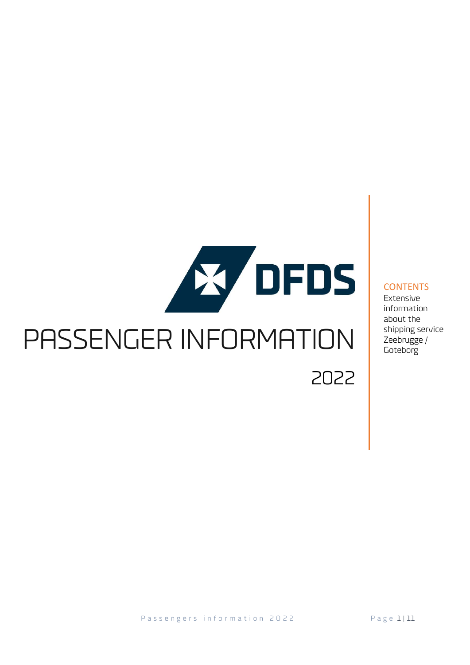# **Ky DFDS** PASSENGER INFORMATION 2022

#### **CONTENTS**

Extensive information about the shipping service Zeebrugge / **Goteborg**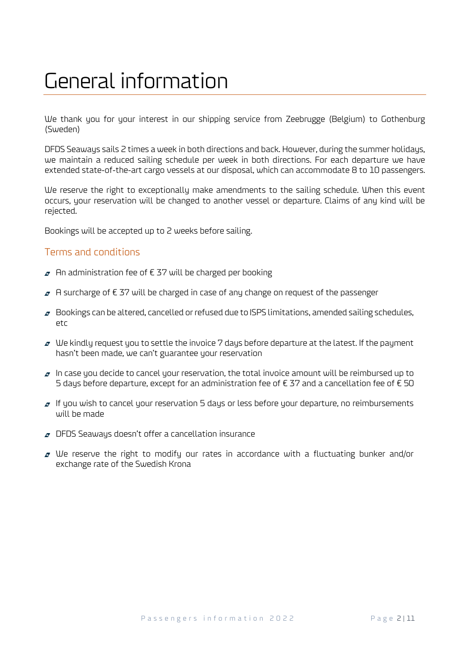### General information

We thank you for your interest in our shipping service from Zeebrugge (Belgium) to Gothenburg (Sweden)

DFDS Seaways sails 2 times a week in both directions and back. However, during the summer holidays, we maintain a reduced sailing schedule per week in both directions. For each departure we have extended state-of-the-art cargo vessels at our disposal, which can accommodate 8 to 10 passengers.

We reserve the right to exceptionally make amendments to the sailing schedule. When this event occurs, your reservation will be changed to another vessel or departure. Claims of any kind will be rejected.

Bookings will be accepted up to 2 weeks before sailing.

#### Terms and conditions

- $\sigma$  An administration fee of € 37 will be charged per booking
- $\sigma$  A surcharge of € 37 will be charged in case of any change on request of the passenger
- $\sigma$  Bookings can be altered, cancelled or refused due to ISPS limitations, amended sailing schedules, etc
- $\sigma$  We kindly request you to settle the invoice 7 days before departure at the latest. If the payment hasn't been made, we can't guarantee your reservation
- $\sigma$  In case you decide to cancel your reservation, the total invoice amount will be reimbursed up to 5 days before departure, except for an administration fee of  $\epsilon$  37 and a cancellation fee of  $\epsilon$  50
- $\sigma$  If you wish to cancel your reservation 5 days or less before your departure, no reimbursements will be made
- **P** DFDS Seaways doesn't offer a cancellation insurance
- $\sigma$  We reserve the right to modify our rates in accordance with a fluctuating bunker and/or exchange rate of the Swedish Krona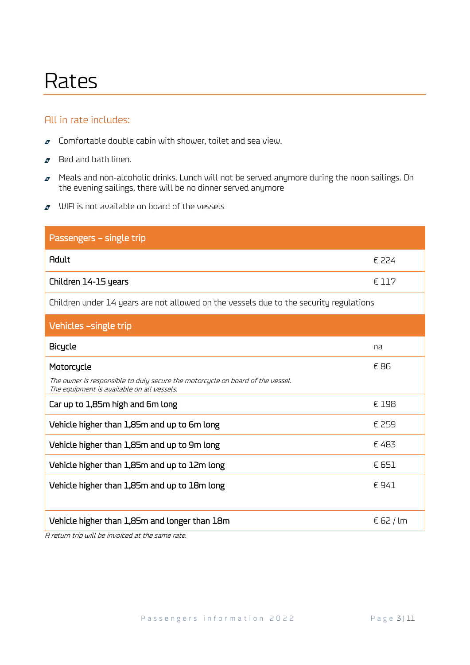### Rates

#### All in rate includes:

- $\sigma$  Comfortable double cabin with shower, toilet and sea view.
- $\sigma$  Bed and bath linen.
- $\sigma$  Meals and non-alcoholic drinks. Lunch will not be served anymore during the noon sailings. On the evening sailings, there will be no dinner served anymore
- $\sigma$  WIFI is not available on board of the vessels

| Passengers - single trip                                                                                                     |           |  |
|------------------------------------------------------------------------------------------------------------------------------|-----------|--|
| <b>Adult</b>                                                                                                                 | € 224     |  |
| Children 14-15 years                                                                                                         | € 117     |  |
| Children under 14 years are not allowed on the vessels due to the security regulations                                       |           |  |
| Vehicles -single trip                                                                                                        |           |  |
| <b>Bicycle</b>                                                                                                               | na        |  |
| Motorcycle                                                                                                                   | € 86      |  |
| The owner is responsible to duly secure the motorcycle on board of the vessel.<br>The equipment is available on all vessels. |           |  |
| Car up to 1,85m high and 6m long                                                                                             | € 198     |  |
| Vehicle higher than 1,85m and up to 6m long                                                                                  | € 259     |  |
| Vehicle higher than 1,85m and up to 9m long                                                                                  | €483      |  |
| Vehicle higher than 1,85m and up to 12m long                                                                                 | € 651     |  |
| Vehicle higher than 1,85m and up to 18m long                                                                                 | €941      |  |
| Vehicle higher than 1,85m and longer than 18m                                                                                | € 62 / lm |  |

A return trip will be invoiced at the same rate.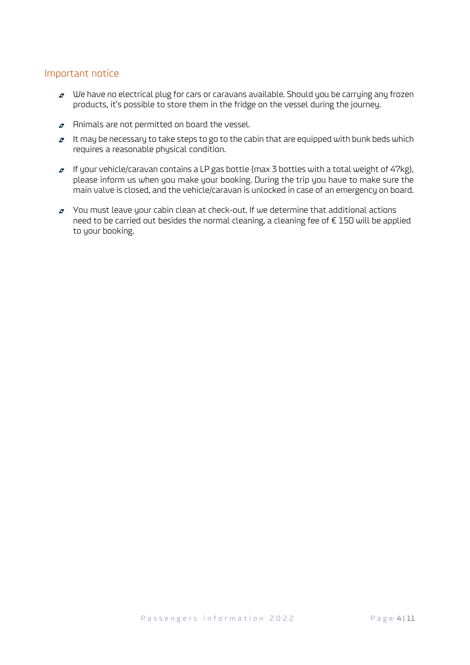#### Important notice

- $\sigma$  We have no electrical plug for cars or caravans available. Should you be carrying any frozen products, it's possible to store them in the fridge on the vessel during the journey.
- $\sigma$  Animals are not permitted on board the vessel.
- $\sigma$  It may be necessary to take steps to go to the cabin that are equipped with bunk beds which requires a reasonable physical condition.
- $I$  If your vehicle/caravan contains a LP gas bottle (max 3 bottles with a total weight of 47kg), please inform us when you make your booking. During the trip you have to make sure the main valve is closed, and the vehicle/caravan is unlocked in case of an emergency on board.
- $\sigma$  You must leave your cabin clean at check-out. If we determine that additional actions need to be carried out besides the normal cleaning, a cleaning fee of €150 will be applied to your booking.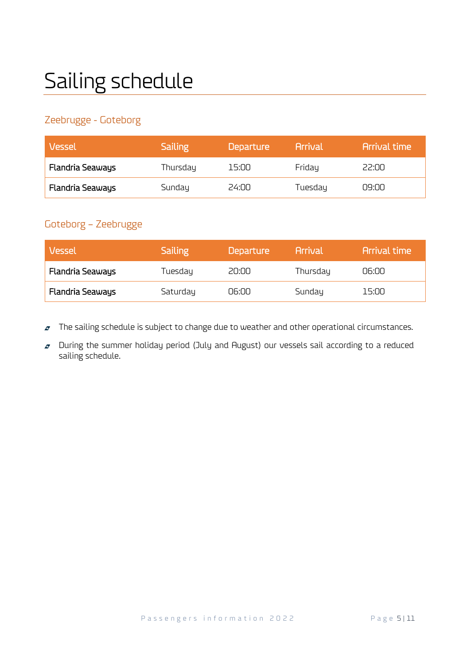# Sailing schedule

#### Zeebrugge - Goteborg

| Vessel                  | <b>Sailing</b> | <b>Departure</b> | <b>Arrival</b> | <b>Arrival time</b> |
|-------------------------|----------------|------------------|----------------|---------------------|
| <b>Flandria Seaways</b> | Thursday       | 15:00            | Friday         | 22:00               |
| <b>Flandria Seaways</b> | Sunday         | 24:00            | Tuesday        | NO:DU               |

#### Goteborg – Zeebrugge

| Vessel                  | <b>Sailing</b> | <b>Departure</b> | <b>Arrival</b> | <b>Arrival time</b> |
|-------------------------|----------------|------------------|----------------|---------------------|
| <b>Flandria Seaways</b> | Tuesday        | 20:00            | Thursday       | 06:00               |
| <b>Flandria Seaways</b> | Saturday       | 06:00            | Sunday         | 15:00               |

- The sailing schedule is subject to change due to weather and other operational circumstances.  $\boldsymbol{\sigma}$
- During the summer holiday period (July and August) our vessels sail according to a reduced  $\sigma$ sailing schedule.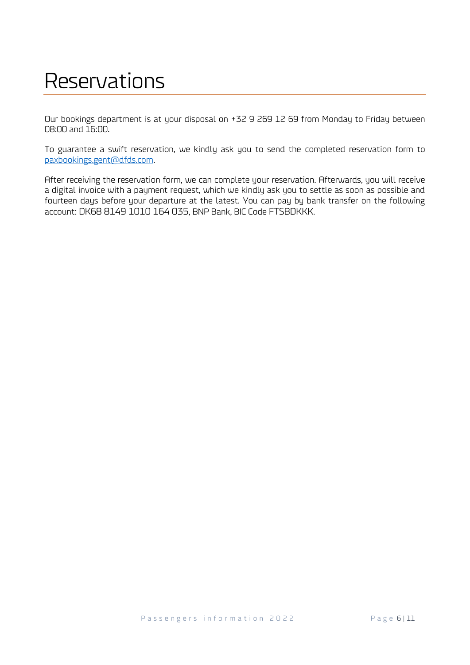### Reservations

Our bookings department is at your disposal on +32 9 269 12 69 from Monday to Friday between 08:00 and 16:00.

To guarantee a swift reservation, we kindly ask you to send the completed reservation form to [paxbookings.gent@dfds.com.](mailto:paxbookings.gent@dfds.com)

After receiving the reservation form, we can complete your reservation. Afterwards, you will receive a digital invoice with a payment request, which we kindly ask you to settle as soon as possible and fourteen days before your departure at the latest. You can pay by bank transfer on the following account: DK68 8149 1010 164 035, BNP Bank, BIC Code FTSBDKKK.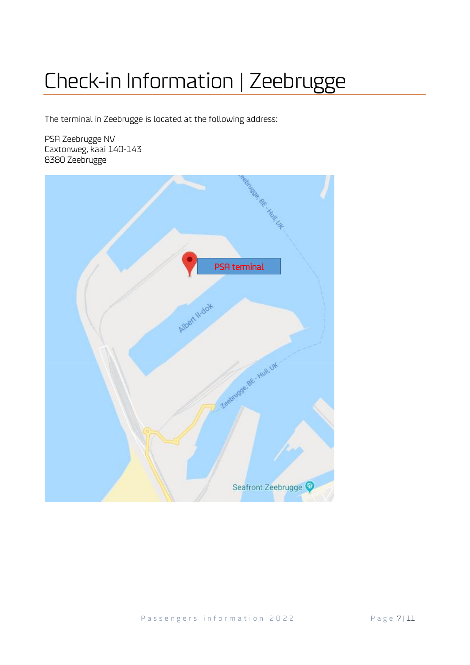# Check-in Information | Zeebrugge

The terminal in Zeebrugge is located at the following address:

PSA Zeebrugge NV Caxtonweg, kaai 140-143 8380 Zeebrugge

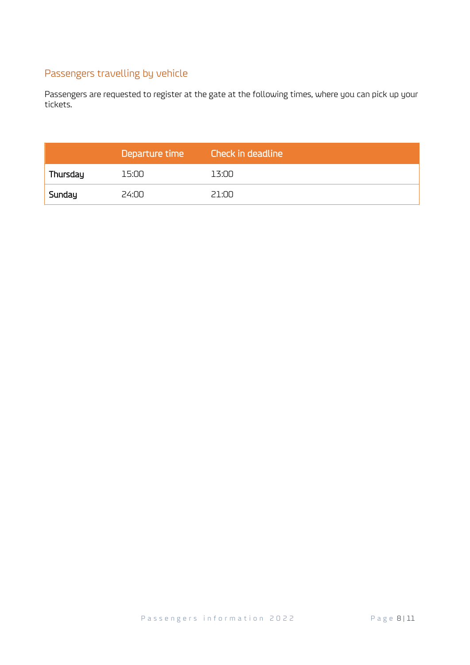#### Passengers travelling by vehicle

Passengers are requested to register at the gate at the following times, where you can pick up your tickets.

|          | Departure time | <b>Check in deadline</b> |
|----------|----------------|--------------------------|
| Thursday | 15:00          | 13:00                    |
| Sunday   | 24:00          | 21 <sup>.</sup> NO       |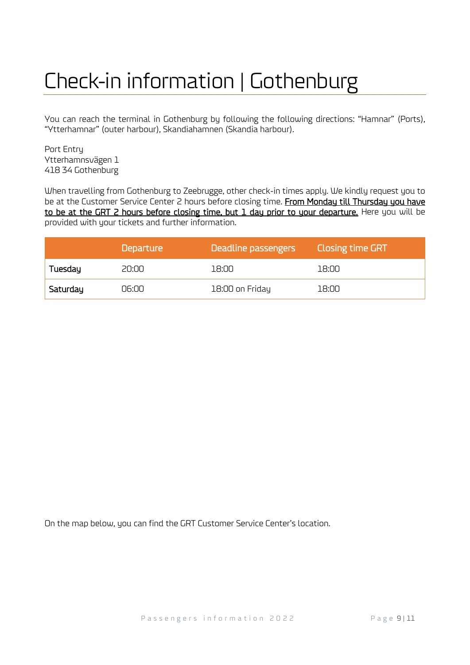## Check-in information | Gothenburg

You can reach the terminal in Gothenburg by following the following directions: "Hamnar" (Ports), "Ytterhamnar" (outer harbour), Skandiahamnen (Skandia harbour).

Port Entry Ytterhamnsvägen 1 418 34 Gothenburg

When travelling from Gothenburg to Zeebrugge, other check-in times apply. We kindly request you to be at the Customer Service Center 2 hours before closing time. From Monday till Thursday you have to be at the GRT 2 hours before closing time, but 1 day prior to your departure. Here you will be provided with your tickets and further information.

|          | <b>Departure</b> | Deadline passengers | <b>Closing time GRT</b> |
|----------|------------------|---------------------|-------------------------|
| Tuesday  | 20:00            | 18:00               | 18:00                   |
| Saturday | 06:00            | 18:00 on Friday     | 18:00                   |

On the map below, you can find the GRT Customer Service Center's location.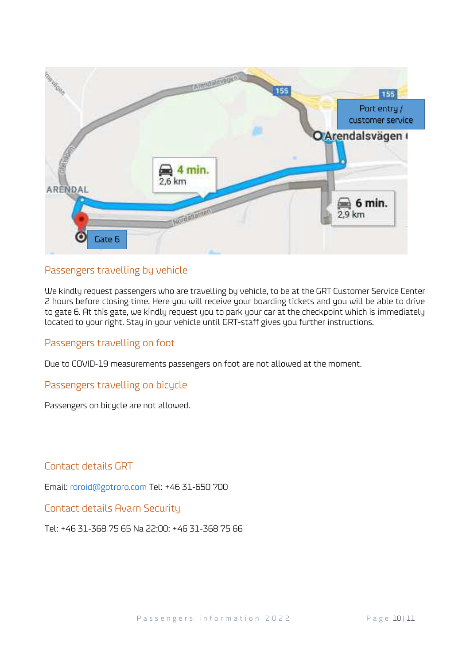

#### Passengers travelling by vehicle

We kindly request passengers who are travelling by vehicle, to be at the GRT Customer Service Center 2 hours before closing time. Here you will receive your boarding tickets and you will be able to drive to gate 6. At this gate, we kindly request you to park your car at the checkpoint which is immediately located to your right. Stay in your vehicle until GRT-staff gives you further instructions.

#### Passengers travelling on foot

Due to COVID-19 measurements passengers on foot are not allowed at the moment.

Passengers travelling on bicycle

Passengers on bicycle are not allowed.

Contact details GRT

Email: [roroid@gotroro.com](mailto:roroid@gotroro.com) Tel: +46 31-650 700

Contact details Avarn Security

Tel: +46 31-368 75 65 Na 22:00: +46 31-368 75 66